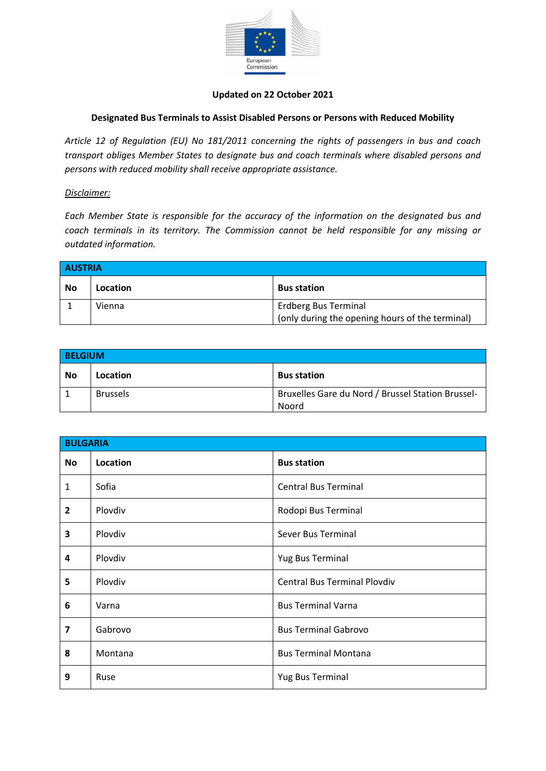

## **Updated on 22 October 2021**

## **Designated Bus Terminals to Assist Disabled Persons or Persons with Reduced Mobility**

*Article 12 of Regulation (EU) No 181/2011 concerning the rights of passengers in bus and coach transport obliges Member States to designate bus and coach terminals where disabled persons and persons with reduced mobility shall receive appropriate assistance.*

## *Disclaimer:*

*Each Member State is responsible for the accuracy of the information on the designated bus and coach terminals in its territory. The Commission cannot be held responsible for any missing or outdated information.*

| <b>AUSTRIA</b> |          |                                                 |
|----------------|----------|-------------------------------------------------|
| <b>No</b>      | Location | <b>Bus station</b>                              |
|                | Vienna   | <b>Erdberg Bus Terminal</b>                     |
|                |          | (only during the opening hours of the terminal) |

| <b>BELGIUM</b> |                 |                                                   |
|----------------|-----------------|---------------------------------------------------|
| No             | Location        | <b>Bus station</b>                                |
|                | <b>Brussels</b> | Bruxelles Gare du Nord / Brussel Station Brussel- |
|                |                 | Noord                                             |

| <b>BULGARIA</b>         |          |                                     |
|-------------------------|----------|-------------------------------------|
| <b>No</b>               | Location | <b>Bus station</b>                  |
| $\mathbf{1}$            | Sofia    | <b>Central Bus Terminal</b>         |
| $\overline{2}$          | Plovdiv  | Rodopi Bus Terminal                 |
| 3                       | Plovdiv  | Sever Bus Terminal                  |
| 4                       | Plovdiv  | Yug Bus Terminal                    |
| 5                       | Plovdiv  | <b>Central Bus Terminal Plovdiv</b> |
| 6                       | Varna    | <b>Bus Terminal Varna</b>           |
| $\overline{\mathbf{z}}$ | Gabrovo  | <b>Bus Terminal Gabrovo</b>         |
| 8                       | Montana  | <b>Bus Terminal Montana</b>         |
| 9                       | Ruse     | Yug Bus Terminal                    |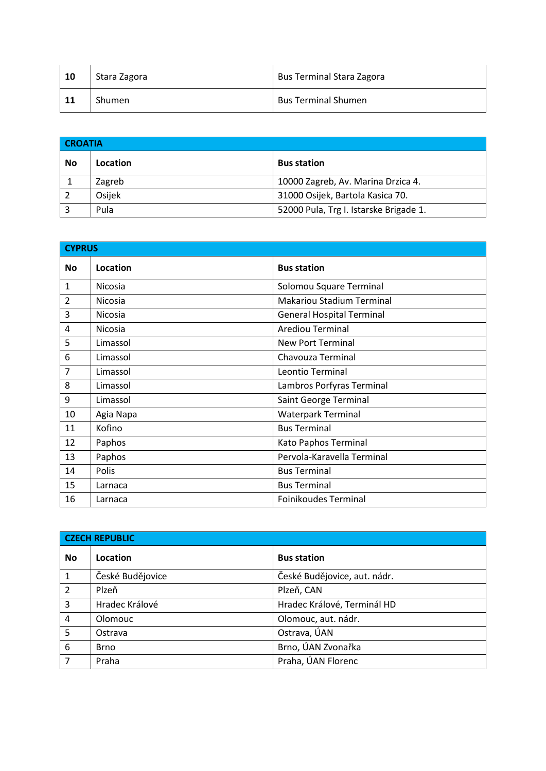| 10 | Stara Zagora  | <b>Bus Terminal Stara Zagora</b> |
|----|---------------|----------------------------------|
| 11 | <b>Shumen</b> | <b>Bus Terminal Shumen</b>       |

| <b>CROATIA</b> |          |                                        |
|----------------|----------|----------------------------------------|
| <b>No</b>      | Location | <b>Bus station</b>                     |
|                | Zagreb   | 10000 Zagreb, Av. Marina Drzica 4.     |
|                | Osijek   | 31000 Osijek, Bartola Kasica 70.       |
| Э              | Pula     | 52000 Pula, Trg I. Istarske Brigade 1. |

| <b>CYPRUS</b>  |           |                                  |
|----------------|-----------|----------------------------------|
| <b>No</b>      | Location  | <b>Bus station</b>               |
| $\mathbf{1}$   | Nicosia   | Solomou Square Terminal          |
| $\overline{2}$ | Nicosia   | <b>Makariou Stadium Terminal</b> |
| $\overline{3}$ | Nicosia   | <b>General Hospital Terminal</b> |
| 4              | Nicosia   | <b>Arediou Terminal</b>          |
| 5              | Limassol  | <b>New Port Terminal</b>         |
| 6              | Limassol  | Chavouza Terminal                |
| $\overline{7}$ | Limassol  | Leontio Terminal                 |
| 8              | Limassol  | Lambros Porfyras Terminal        |
| 9              | Limassol  | Saint George Terminal            |
| 10             | Agia Napa | <b>Waterpark Terminal</b>        |
| 11             | Kofino    | <b>Bus Terminal</b>              |
| 12             | Paphos    | Kato Paphos Terminal             |
| 13             | Paphos    | Pervola-Karavella Terminal       |
| 14             | Polis     | <b>Bus Terminal</b>              |
| 15             | Larnaca   | <b>Bus Terminal</b>              |
| 16             | Larnaca   | <b>Foinikoudes Terminal</b>      |

| <b>CZECH REPUBLIC</b> |                  |                              |
|-----------------------|------------------|------------------------------|
| <b>No</b>             | Location         | <b>Bus station</b>           |
| $\mathbf{1}$          | České Budějovice | České Budějovice, aut. nádr. |
| $\overline{2}$        | Plzeň            | Plzeň, CAN                   |
| $\overline{3}$        | Hradec Králové   | Hradec Králové, Terminál HD  |
| $\overline{4}$        | Olomouc          | Olomouc, aut. nádr.          |
| $\overline{5}$        | Ostrava          | Ostrava, ÚAN                 |
| 6                     | <b>Brno</b>      | Brno, ÚAN Zvonařka           |
| 7                     | Praha            | Praha, ÚAN Florenc           |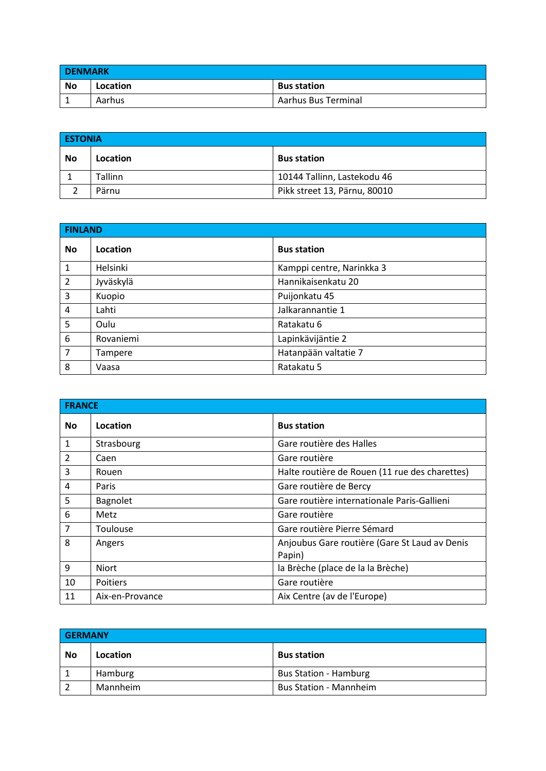| <b>DENMARK</b> |          |                     |
|----------------|----------|---------------------|
| <b>No</b>      | Location | <b>Bus station</b>  |
|                | Aarhus   | Aarhus Bus Terminal |

| <b>ESTONIA</b> |          |                              |
|----------------|----------|------------------------------|
| No             | Location | <b>Bus station</b>           |
|                | Tallinn  | 10144 Tallinn, Lastekodu 46  |
|                | Pärnu    | Pikk street 13, Pärnu, 80010 |

| <b>FINLAND</b> |           |                           |
|----------------|-----------|---------------------------|
| <b>No</b>      | Location  | <b>Bus station</b>        |
| $\mathbf{1}$   | Helsinki  | Kamppi centre, Narinkka 3 |
| $\overline{2}$ | Jyväskylä | Hannikaisenkatu 20        |
| 3              | Kuopio    | Puijonkatu 45             |
| 4              | Lahti     | Jalkarannantie 1          |
| 5              | Oulu      | Ratakatu 6                |
| 6              | Rovaniemi | Lapinkävijäntie 2         |
| $\overline{7}$ | Tampere   | Hatanpään valtatie 7      |
| 8              | Vaasa     | Ratakatu 5                |

| <b>FRANCE</b>  |                 |                                                         |
|----------------|-----------------|---------------------------------------------------------|
| <b>No</b>      | Location        | <b>Bus station</b>                                      |
| $\mathbf{1}$   | Strasbourg      | Gare routière des Halles                                |
| $\overline{2}$ | Caen            | Gare routière                                           |
| 3              | Rouen           | Halte routière de Rouen (11 rue des charettes)          |
| 4              | Paris           | Gare routière de Bercy                                  |
| 5              | Bagnolet        | Gare routière internationale Paris-Gallieni             |
| 6              | Metz            | Gare routière                                           |
| 7              | Toulouse        | Gare routière Pierre Sémard                             |
| 8              | Angers          | Anjoubus Gare routière (Gare St Laud av Denis<br>Papin) |
| 9              | <b>Niort</b>    | la Brèche (place de la la Brèche)                       |
| 10             | <b>Poitiers</b> | Gare routière                                           |
| 11             | Aix-en-Provance | Aix Centre (av de l'Europe)                             |

| <b>GERMANY</b> |          |                               |
|----------------|----------|-------------------------------|
| No             | Location | <b>Bus station</b>            |
|                | Hamburg  | <b>Bus Station - Hamburg</b>  |
|                | Mannheim | <b>Bus Station - Mannheim</b> |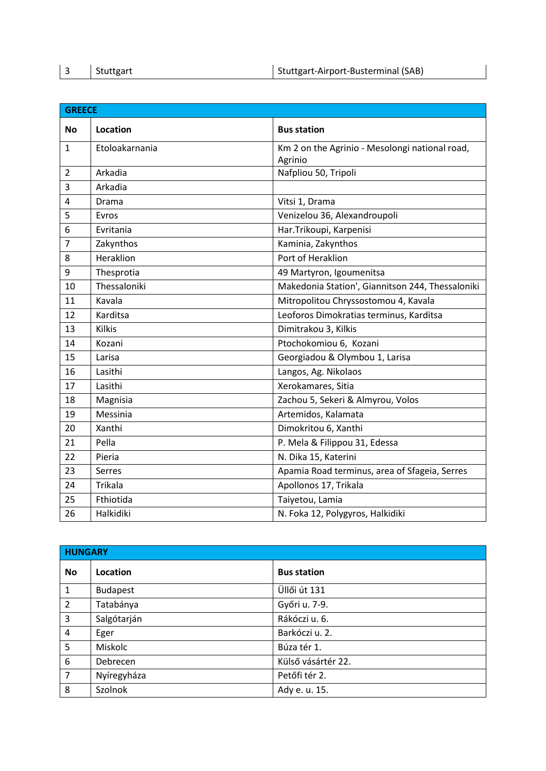|  | Stuttgart | Stuttgart-Airport-Busterminal (SAB) |
|--|-----------|-------------------------------------|
|--|-----------|-------------------------------------|

| <b>GREECE</b>  |                |                                                           |
|----------------|----------------|-----------------------------------------------------------|
| <b>No</b>      | Location       | <b>Bus station</b>                                        |
| $\mathbf{1}$   | Etoloakarnania | Km 2 on the Agrinio - Mesolongi national road,<br>Agrinio |
| $\overline{2}$ | Arkadia        | Nafpliou 50, Tripoli                                      |
| 3              | Arkadia        |                                                           |
| 4              | Drama          | Vitsi 1, Drama                                            |
| 5              | Evros          | Venizelou 36, Alexandroupoli                              |
| 6              | Evritania      | Har.Trikoupi, Karpenisi                                   |
| 7              | Zakynthos      | Kaminia, Zakynthos                                        |
| 8              | Heraklion      | Port of Heraklion                                         |
| 9              | Thesprotia     | 49 Martyron, Igoumenitsa                                  |
| 10             | Thessaloniki   | Makedonia Station', Giannitson 244, Thessaloniki          |
| 11             | Kavala         | Mitropolitou Chryssostomou 4, Kavala                      |
| 12             | Karditsa       | Leoforos Dimokratias terminus, Karditsa                   |
| 13             | <b>Kilkis</b>  | Dimitrakou 3, Kilkis                                      |
| 14             | Kozani         | Ptochokomiou 6, Kozani                                    |
| 15             | Larisa         | Georgiadou & Olymbou 1, Larisa                            |
| 16             | Lasithi        | Langos, Ag. Nikolaos                                      |
| 17             | Lasithi        | Xerokamares, Sitia                                        |
| 18             | Magnisia       | Zachou 5, Sekeri & Almyrou, Volos                         |
| 19             | Messinia       | Artemidos, Kalamata                                       |
| 20             | Xanthi         | Dimokritou 6, Xanthi                                      |
| 21             | Pella          | P. Mela & Filippou 31, Edessa                             |
| 22             | Pieria         | N. Dika 15, Katerini                                      |
| 23             | Serres         | Apamia Road terminus, area of Sfageia, Serres             |
| 24             | <b>Trikala</b> | Apollonos 17, Trikala                                     |
| 25             | Fthiotida      | Taiyetou, Lamia                                           |
| 26             | Halkidiki      | N. Foka 12, Polygyros, Halkidiki                          |

| <b>HUNGARY</b> |                 |                    |
|----------------|-----------------|--------------------|
| <b>No</b>      | Location        | <b>Bus station</b> |
| $\mathbf{1}$   | <b>Budapest</b> | Üllői út 131       |
| $\overline{2}$ | Tatabánya       | Győri u. 7-9.      |
| 3              | Salgótarján     | Rákóczi u. 6.      |
| $\overline{4}$ | Eger            | Barkóczi u. 2.     |
| 5              | Miskolc         | Búza tér 1.        |
| 6              | Debrecen        | Külső vásártér 22. |
| $\overline{7}$ | Nyíregyháza     | Petőfi tér 2.      |
| 8              | Szolnok         | Ady e. u. 15.      |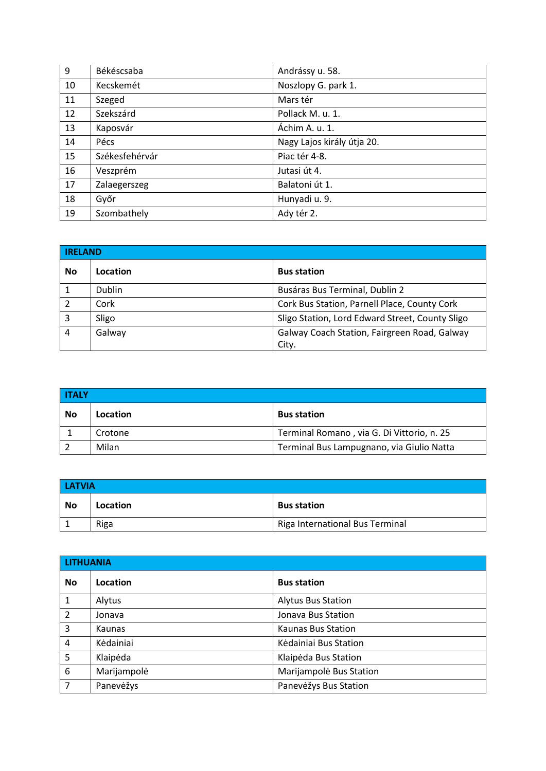| 9  | Békéscsaba     | Andrássy u. 58.            |
|----|----------------|----------------------------|
| 10 | Kecskemét      | Noszlopy G. park 1.        |
| 11 | Szeged         | Mars tér                   |
| 12 | Szekszárd      | Pollack M. u. 1.           |
| 13 | Kaposvár       | Áchim A. u. 1.             |
| 14 | Pécs           | Nagy Lajos király útja 20. |
| 15 | Székesfehérvár | Piac tér 4-8.              |
| 16 | Veszprém       | Jutasi út 4.               |
| 17 | Zalaegerszeg   | Balatoni út 1.             |
| 18 | Győr           | Hunyadi u. 9.              |
| 19 | Szombathely    | Ady tér 2.                 |

| <b>IRELAND</b> |               |                                                 |
|----------------|---------------|-------------------------------------------------|
| No             | Location      | <b>Bus station</b>                              |
|                | <b>Dublin</b> | Busáras Bus Terminal, Dublin 2                  |
|                | Cork          | Cork Bus Station, Parnell Place, County Cork    |
| 3              | Sligo         | Sligo Station, Lord Edward Street, County Sligo |
| $\overline{4}$ | Galway        | Galway Coach Station, Fairgreen Road, Galway    |
|                |               | City.                                           |

| <b>ITALY</b> |          |                                            |
|--------------|----------|--------------------------------------------|
| No           | Location | <b>Bus station</b>                         |
|              | Crotone  | Terminal Romano, via G. Di Vittorio, n. 25 |
|              | Milan    | Terminal Bus Lampugnano, via Giulio Natta  |

| <b>LATVIA</b> |          |                                 |
|---------------|----------|---------------------------------|
| - No          | Location | <b>Bus station</b>              |
|               | Riga     | Riga International Bus Terminal |

| <b>LITHUANIA</b> |             |                           |
|------------------|-------------|---------------------------|
| <b>No</b>        | Location    | <b>Bus station</b>        |
| $\mathbf{1}$     | Alytus      | <b>Alytus Bus Station</b> |
| $\overline{2}$   | Jonava      | Jonava Bus Station        |
| $\overline{3}$   | Kaunas      | Kaunas Bus Station        |
| $\overline{4}$   | Kėdainiai   | Kėdainiai Bus Station     |
| 5                | Klaipėda    | Klaipėda Bus Station      |
| 6                | Marijampolė | Marijampolė Bus Station   |
| 7                | Panevėžys   | Panevėžys Bus Station     |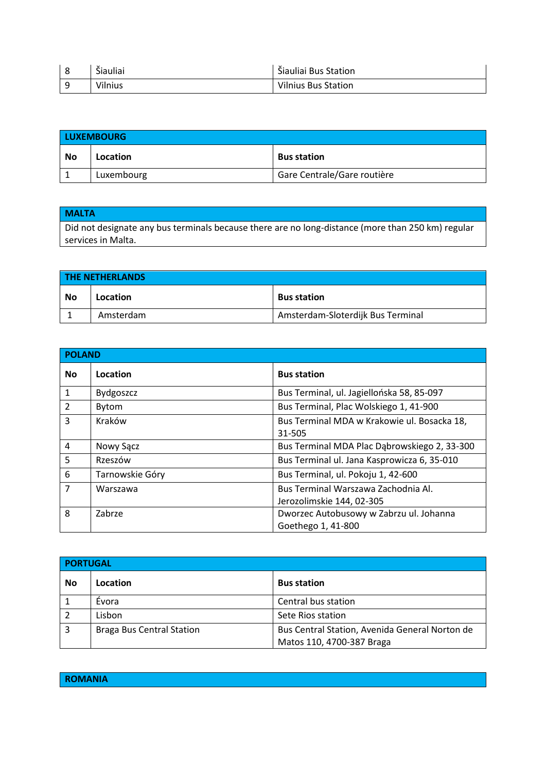| $\tilde{ }$<br>Šiauliai<br>$\ddot{\,}$ | Šiauliai Bus Station       |
|----------------------------------------|----------------------------|
| Vilnius                                | <b>Vilnius Bus Station</b> |

| <b>LUXEMBOURG</b> |            |                             |
|-------------------|------------|-----------------------------|
| No                | Location   | <b>Bus station</b>          |
|                   | Luxembourg | Gare Centrale/Gare routière |

## **MALTA**

Did not designate any bus terminals because there are no long-distance (more than 250 km) regular services in Malta.

| <b>THE NETHERLANDS</b> |           |                                   |
|------------------------|-----------|-----------------------------------|
| No                     | Location  | <b>Bus station</b>                |
|                        | Amsterdam | Amsterdam-Sloterdijk Bus Terminal |

| <b>POLAND</b>  |                  |                                                                  |
|----------------|------------------|------------------------------------------------------------------|
| <b>No</b>      | Location         | <b>Bus station</b>                                               |
| $\mathbf{1}$   | <b>Bydgoszcz</b> | Bus Terminal, ul. Jagiellońska 58, 85-097                        |
| 2              | Bytom            | Bus Terminal, Plac Wolskiego 1, 41-900                           |
| 3              | Kraków           | Bus Terminal MDA w Krakowie ul. Bosacka 18,<br>31-505            |
| $\overline{4}$ | Nowy Sącz        | Bus Terminal MDA Plac Dabrowskiego 2, 33-300                     |
| 5              | Rzeszów          | Bus Terminal ul. Jana Kasprowicza 6, 35-010                      |
| 6              | Tarnowskie Góry  | Bus Terminal, ul. Pokoju 1, 42-600                               |
| $\overline{7}$ | Warszawa         | Bus Terminal Warszawa Zachodnia Al.<br>Jerozolimskie 144, 02-305 |
| 8              | Zabrze           | Dworzec Autobusowy w Zabrzu ul. Johanna<br>Goethego 1, 41-800    |

| <b>PORTUGAL</b> |                                  |                                                                             |
|-----------------|----------------------------------|-----------------------------------------------------------------------------|
| No              | Location                         | <b>Bus station</b>                                                          |
|                 | Evora                            | Central bus station                                                         |
|                 | Lisbon                           | Sete Rios station                                                           |
| 3               | <b>Braga Bus Central Station</b> | Bus Central Station, Avenida General Norton de<br>Matos 110, 4700-387 Braga |

**ROMANIA**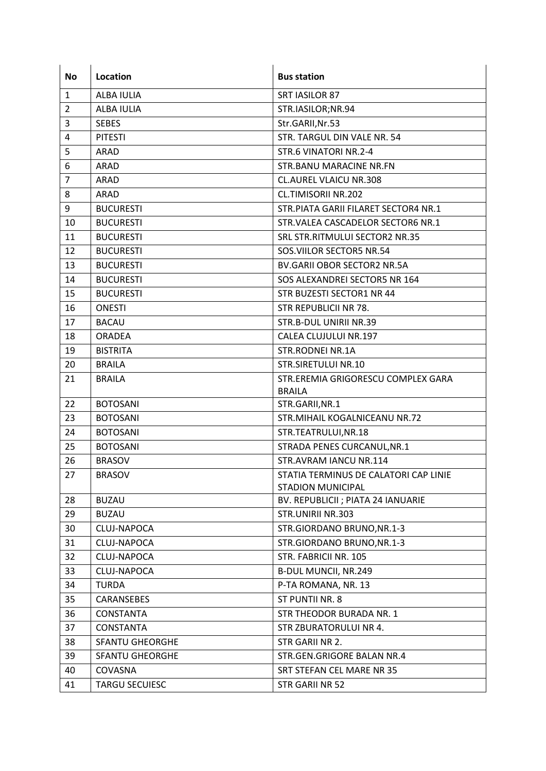| <b>No</b> | Location               | <b>Bus station</b>                     |
|-----------|------------------------|----------------------------------------|
| 1         | <b>ALBA IULIA</b>      | <b>SRT IASILOR 87</b>                  |
| 2         | ALBA IULIA             | STR.IASILOR;NR.94                      |
| 3         | <b>SEBES</b>           | Str.GARII, Nr.53                       |
| 4         | <b>PITESTI</b>         | STR. TARGUL DIN VALE NR. 54            |
| 5         | <b>ARAD</b>            | STR.6 VINATORI NR.2-4                  |
| 6         | ARAD                   | <b>STR.BANU MARACINE NR.FN</b>         |
|           | ARAD                   | <b>CL.AUREL VLAICU NR.308</b>          |
|           | ARAD                   | <b>CL.TIMISORII NR.202</b>             |
|           | <b>BUCURESTI</b>       | STR. PIATA GARII FILARET SECTOR4 NR. 1 |
| 10        | <b>BUCURESTI</b>       | STR. VALEA CASCADELOR SECTOR6 NR.1     |
| 11        | <b>BUCURESTI</b>       | SRL STR. RITMULUI SECTOR2 NR.35        |
| 12        | <b>BUCURESTI</b>       | SOS. VIILOR SECTOR5 NR.54              |
| 13        | <b>BUCURESTI</b>       | <b>BV.GARII OBOR SECTOR2 NR.5A</b>     |
| 14        | <b>BUCURESTI</b>       | SOS ALEXANDREI SECTOR5 NR 164          |
| 15        | <b>BUCURESTI</b>       | STR BUZESTI SECTOR1 NR 44              |
| 16        | <b>ONESTI</b>          | <b>STR REPUBLICII NR 78.</b>           |
| 17        | <b>BACAU</b>           | STR.B-DUL UNIRII NR.39                 |
| 18        | <b>ORADEA</b>          | CALEA CLUJULUI NR.197                  |
| 19        | <b>BISTRITA</b>        | STR.RODNEI NR.1A                       |
| 20        | <b>BRAILA</b>          | STR.SIRETULUI NR.10                    |
| 21        | <b>BRAILA</b>          | STR.EREMIA GRIGORESCU COMPLEX GARA     |
|           |                        | <b>BRAILA</b>                          |
| 22        | <b>BOTOSANI</b>        | STR.GARII, NR.1                        |
| 23        | <b>BOTOSANI</b>        | STR.MIHAIL KOGALNICEANU NR.72          |
| 24        | <b>BOTOSANI</b>        | STR.TEATRULUI, NR.18                   |
| 25        | <b>BOTOSANI</b>        | STRADA PENES CURCANUL, NR.1            |
| 26        | <b>BRASOV</b>          | STR.AVRAM IANCU NR.114                 |
| 27        | <b>BRASOV</b>          | STATIA TERMINUS DE CALATORI CAP LINIE  |
|           |                        | <b>STADION MUNICIPAL</b>               |
| 28        | <b>BUZAU</b>           | BV. REPUBLICII ; PIATA 24 IANUARIE     |
| 29        | <b>BUZAU</b>           | STR.UNIRII NR.303                      |
| 30        | CLUJ-NAPOCA            | STR.GIORDANO BRUNO, NR.1-3             |
| 31        | CLUJ-NAPOCA            | STR.GIORDANO BRUNO, NR.1-3             |
| 32        | CLUJ-NAPOCA            | STR. FABRICII NR. 105                  |
| 33        | CLUJ-NAPOCA            | <b>B-DUL MUNCII, NR.249</b>            |
| 34        | <b>TURDA</b>           | P-TA ROMANA, NR. 13                    |
| 35        | CARANSEBES             | ST PUNTII NR. 8                        |
| 36        | <b>CONSTANTA</b>       | STR THEODOR BURADA NR. 1               |
| 37        | <b>CONSTANTA</b>       | STR ZBURATORULUI NR 4.                 |
| 38        | <b>SFANTU GHEORGHE</b> | STR GARII NR 2.                        |
| 39        | <b>SFANTU GHEORGHE</b> | STR.GEN.GRIGORE BALAN NR.4             |
| 40        | COVASNA                | SRT STEFAN CEL MARE NR 35              |
| 41        | <b>TARGU SECUIESC</b>  | STR GARII NR 52                        |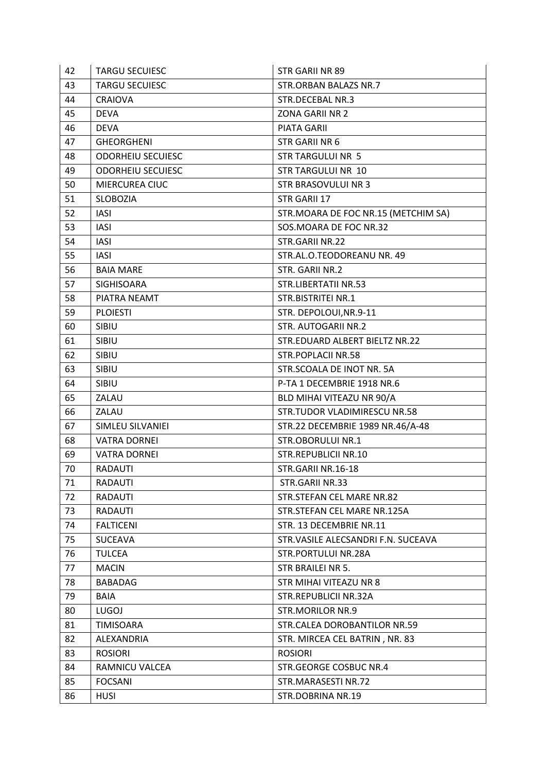| 42 | <b>TARGU SECUIESC</b>    | <b>STR GARII NR 89</b>              |
|----|--------------------------|-------------------------------------|
| 43 | <b>TARGU SECUIESC</b>    | <b>STR.ORBAN BALAZS NR.7</b>        |
| 44 | <b>CRAIOVA</b>           | STR.DECEBAL NR.3                    |
| 45 | <b>DEVA</b>              | <b>ZONA GARII NR 2</b>              |
| 46 | <b>DEVA</b>              | <b>PIATA GARII</b>                  |
| 47 | <b>GHEORGHENI</b>        | STR GARII NR 6                      |
| 48 | <b>ODORHEIU SECUIESC</b> | <b>STR TARGULUI NR 5</b>            |
| 49 | <b>ODORHEIU SECUIESC</b> | <b>STR TARGULUI NR 10</b>           |
| 50 | MIERCUREA CIUC           | STR BRASOVULUI NR 3                 |
| 51 | <b>SLOBOZIA</b>          | STR GARII 17                        |
| 52 | <b>IASI</b>              | STR.MOARA DE FOC NR.15 (METCHIM SA) |
| 53 | <b>IASI</b>              | SOS.MOARA DE FOC NR.32              |
| 54 | <b>IASI</b>              | STR.GARII NR.22                     |
| 55 | <b>IASI</b>              | STR.AL.O.TEODOREANU NR. 49          |
| 56 | <b>BAIA MARE</b>         | STR. GARII NR.2                     |
| 57 | SIGHISOARA               | STR.LIBERTATII NR.53                |
| 58 | PIATRA NEAMT             | STR.BISTRITEI NR.1                  |
| 59 | <b>PLOIESTI</b>          | STR. DEPOLOUI, NR.9-11              |
| 60 | SIBIU                    | <b>STR. AUTOGARII NR.2</b>          |
| 61 | SIBIU                    | STR.EDUARD ALBERT BIELTZ NR.22      |
| 62 | SIBIU                    | <b>STR.POPLACII NR.58</b>           |
| 63 | SIBIU                    | STR.SCOALA DE INOT NR. 5A           |
| 64 | <b>SIBIU</b>             | P-TA 1 DECEMBRIE 1918 NR.6          |
| 65 | ZALAU                    | BLD MIHAI VITEAZU NR 90/A           |
| 66 | ZALAU                    | STR.TUDOR VLADIMIRESCU NR.58        |
| 67 | SIMLEU SILVANIEI         | STR.22 DECEMBRIE 1989 NR.46/A-48    |
| 68 | <b>VATRA DORNEI</b>      | <b>STR.OBORULUI NR.1</b>            |
| 69 | <b>VATRA DORNEI</b>      | <b>STR.REPUBLICII NR.10</b>         |
| 70 | RADAUTI                  | STR.GARII NR.16-18                  |
| 71 | <b>RADAUTI</b>           | STR.GARII NR.33                     |
| 72 | <b>RADAUTI</b>           | STR.STEFAN CEL MARE NR.82           |
| 73 | RADAUTI                  | STR.STEFAN CEL MARE NR.125A         |
| 74 | <b>FALTICENI</b>         | STR. 13 DECEMBRIE NR.11             |
| 75 | <b>SUCEAVA</b>           | STR.VASILE ALECSANDRI F.N. SUCEAVA  |
| 76 | <b>TULCEA</b>            | STR.PORTULUI NR.28A                 |
| 77 | <b>MACIN</b>             | <b>STR BRAILEI NR 5.</b>            |
| 78 | <b>BABADAG</b>           | <b>STR MIHAI VITEAZU NR 8</b>       |
| 79 | <b>BAIA</b>              | STR.REPUBLICII NR.32A               |
| 80 | <b>LUGOJ</b>             | <b>STR.MORILOR NR.9</b>             |
| 81 | TIMISOARA                | STR.CALEA DOROBANTILOR NR.59        |
| 82 | ALEXANDRIA               | STR. MIRCEA CEL BATRIN, NR. 83      |
| 83 | <b>ROSIORI</b>           | <b>ROSIORI</b>                      |
| 84 | RAMNICU VALCEA           | <b>STR.GEORGE COSBUC NR.4</b>       |
| 85 | <b>FOCSANI</b>           | STR.MARASESTI NR.72                 |
| 86 | <b>HUSI</b>              | STR.DOBRINA NR.19                   |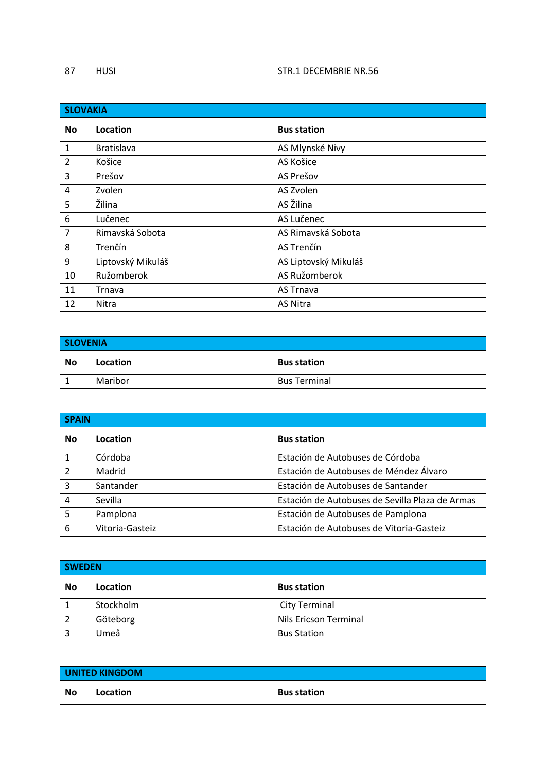| 87 | ບມເ | STR.1 DECEMBRIE NR.56 |
|----|-----|-----------------------|
|----|-----|-----------------------|

| <b>SLOVAKIA</b> |                   |                      |
|-----------------|-------------------|----------------------|
| <b>No</b>       | Location          | <b>Bus station</b>   |
| $\mathbf{1}$    | <b>Bratislava</b> | AS Mlynské Nivy      |
| $\overline{2}$  | Košice            | AS Košice            |
| 3               | Prešov            | AS Prešov            |
| 4               | Zvolen            | AS Zvolen            |
| 5               | Žilina            | AS Žilina            |
| 6               | Lučenec           | AS Lučenec           |
| $\overline{7}$  | Rimavská Sobota   | AS Rimavská Sobota   |
| 8               | Trenčín           | AS Trenčín           |
| 9               | Liptovský Mikuláš | AS Liptovský Mikuláš |
| 10              | Ružomberok        | AS Ružomberok        |
| 11              | Trnava            | <b>AS Trnava</b>     |
| 12              | Nitra             | <b>AS Nitra</b>      |

| <b>SLOVENIA</b> |          |                     |
|-----------------|----------|---------------------|
| <b>No</b>       | Location | <b>Bus station</b>  |
|                 | Maribor  | <b>Bus Terminal</b> |

| <b>SPAIN</b>             |                 |                                                 |
|--------------------------|-----------------|-------------------------------------------------|
| <b>No</b>                | Location        | <b>Bus station</b>                              |
| $\mathbf{1}$             | Córdoba         | Estación de Autobuses de Córdoba                |
| $\overline{\phantom{a}}$ | Madrid          | Estación de Autobuses de Méndez Álvaro          |
| 3                        | Santander       | Estación de Autobuses de Santander              |
| $\overline{4}$           | Sevilla         | Estación de Autobuses de Sevilla Plaza de Armas |
| 5                        | Pamplona        | Estación de Autobuses de Pamplona               |
| 6                        | Vitoria-Gasteiz | Estación de Autobuses de Vitoria-Gasteiz        |

| <b>SWEDEN</b>  |           |                              |
|----------------|-----------|------------------------------|
| <b>No</b>      | Location  | <b>Bus station</b>           |
| 1              | Stockholm | City Terminal                |
| $\sqrt{2}$     | Göteborg  | <b>Nils Ericson Terminal</b> |
| $\overline{3}$ | Jmeå      | <b>Bus Station</b>           |

| UNITED KINGDOM |          |                    |
|----------------|----------|--------------------|
| No             | Location | <b>Bus station</b> |